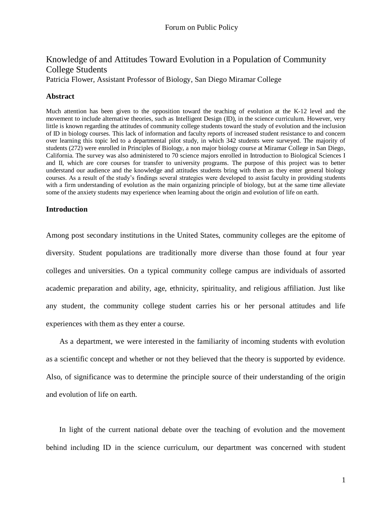# Knowledge of and Attitudes Toward Evolution in a Population of Community College Students

Patricia Flower, Assistant Professor of Biology, San Diego Miramar College

## **Abstract**

Much attention has been given to the opposition toward the teaching of evolution at the K-12 level and the movement to include alternative theories, such as Intelligent Design (ID), in the science curriculum. However, very little is known regarding the attitudes of community college students toward the study of evolution and the inclusion of ID in biology courses. This lack of information and faculty reports of increased student resistance to and concern over learning this topic led to a departmental pilot study, in which 342 students were surveyed. The majority of students (272) were enrolled in Principles of Biology, a non major biology course at Miramar College in San Diego, California. The survey was also administered to 70 science majors enrolled in Introduction to Biological Sciences I and II, which are core courses for transfer to university programs. The purpose of this project was to better understand our audience and the knowledge and attitudes students bring with them as they enter general biology courses. As a result of the study's findings several strategies were developed to assist faculty in providing students with a firm understanding of evolution as the main organizing principle of biology, but at the same time alleviate some of the anxiety students may experience when learning about the origin and evolution of life on earth.

#### **Introduction**

Among post secondary institutions in the United States, community colleges are the epitome of diversity. Student populations are traditionally more diverse than those found at four year colleges and universities. On a typical community college campus are individuals of assorted academic preparation and ability, age, ethnicity, spirituality, and religious affiliation. Just like any student, the community college student carries his or her personal attitudes and life experiences with them as they enter a course.

 As a department, we were interested in the familiarity of incoming students with evolution as a scientific concept and whether or not they believed that the theory is supported by evidence. Also, of significance was to determine the principle source of their understanding of the origin and evolution of life on earth.

 In light of the current national debate over the teaching of evolution and the movement behind including ID in the science curriculum, our department was concerned with student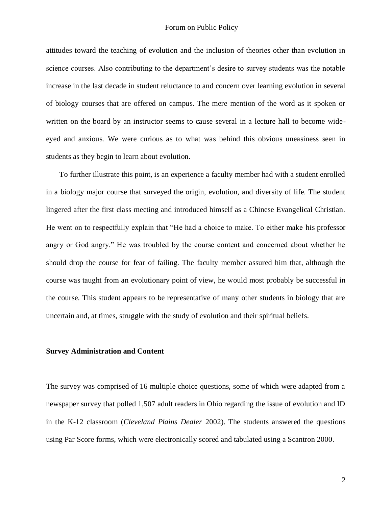attitudes toward the teaching of evolution and the inclusion of theories other than evolution in science courses. Also contributing to the department's desire to survey students was the notable increase in the last decade in student reluctance to and concern over learning evolution in several of biology courses that are offered on campus. The mere mention of the word as it spoken or written on the board by an instructor seems to cause several in a lecture hall to become wideeyed and anxious. We were curious as to what was behind this obvious uneasiness seen in students as they begin to learn about evolution.

 To further illustrate this point, is an experience a faculty member had with a student enrolled in a biology major course that surveyed the origin, evolution, and diversity of life. The student lingered after the first class meeting and introduced himself as a Chinese Evangelical Christian. He went on to respectfully explain that "He had a choice to make. To either make his professor angry or God angry." He was troubled by the course content and concerned about whether he should drop the course for fear of failing. The faculty member assured him that, although the course was taught from an evolutionary point of view, he would most probably be successful in the course. This student appears to be representative of many other students in biology that are uncertain and, at times, struggle with the study of evolution and their spiritual beliefs.

#### **Survey Administration and Content**

The survey was comprised of 16 multiple choice questions, some of which were adapted from a newspaper survey that polled 1,507 adult readers in Ohio regarding the issue of evolution and ID in the K-12 classroom (*Cleveland Plains Dealer* 2002). The students answered the questions using Par Score forms, which were electronically scored and tabulated using a Scantron 2000.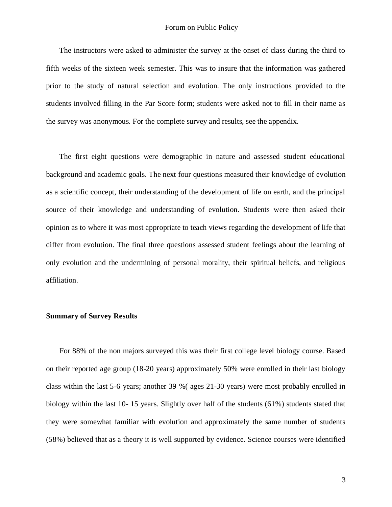The instructors were asked to administer the survey at the onset of class during the third to fifth weeks of the sixteen week semester. This was to insure that the information was gathered prior to the study of natural selection and evolution. The only instructions provided to the students involved filling in the Par Score form; students were asked not to fill in their name as the survey was anonymous. For the complete survey and results, see the appendix.

 The first eight questions were demographic in nature and assessed student educational background and academic goals. The next four questions measured their knowledge of evolution as a scientific concept, their understanding of the development of life on earth, and the principal source of their knowledge and understanding of evolution. Students were then asked their opinion as to where it was most appropriate to teach views regarding the development of life that differ from evolution. The final three questions assessed student feelings about the learning of only evolution and the undermining of personal morality, their spiritual beliefs, and religious affiliation.

#### **Summary of Survey Results**

 For 88% of the non majors surveyed this was their first college level biology course. Based on their reported age group (18-20 years) approximately 50% were enrolled in their last biology class within the last 5-6 years; another 39 %( ages 21-30 years) were most probably enrolled in biology within the last 10-15 years. Slightly over half of the students (61%) students stated that they were somewhat familiar with evolution and approximately the same number of students (58%) believed that as a theory it is well supported by evidence. Science courses were identified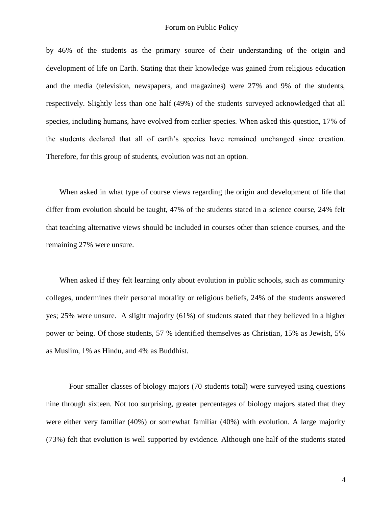by 46% of the students as the primary source of their understanding of the origin and development of life on Earth. Stating that their knowledge was gained from religious education and the media (television, newspapers, and magazines) were 27% and 9% of the students, respectively. Slightly less than one half (49%) of the students surveyed acknowledged that all species, including humans, have evolved from earlier species. When asked this question, 17% of the students declared that all of earth's species have remained unchanged since creation. Therefore, for this group of students, evolution was not an option.

 When asked in what type of course views regarding the origin and development of life that differ from evolution should be taught, 47% of the students stated in a science course, 24% felt that teaching alternative views should be included in courses other than science courses, and the remaining 27% were unsure.

 When asked if they felt learning only about evolution in public schools, such as community colleges, undermines their personal morality or religious beliefs, 24% of the students answered yes; 25% were unsure. A slight majority (61%) of students stated that they believed in a higher power or being. Of those students, 57 % identified themselves as Christian, 15% as Jewish, 5% as Muslim, 1% as Hindu, and 4% as Buddhist.

Four smaller classes of biology majors (70 students total) were surveyed using questions nine through sixteen. Not too surprising, greater percentages of biology majors stated that they were either very familiar (40%) or somewhat familiar (40%) with evolution. A large majority (73%) felt that evolution is well supported by evidence. Although one half of the students stated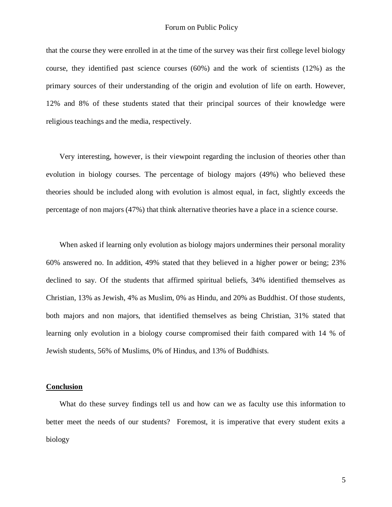that the course they were enrolled in at the time of the survey was their first college level biology course, they identified past science courses (60%) and the work of scientists (12%) as the primary sources of their understanding of the origin and evolution of life on earth. However, 12% and 8% of these students stated that their principal sources of their knowledge were religious teachings and the media, respectively.

 Very interesting, however, is their viewpoint regarding the inclusion of theories other than evolution in biology courses. The percentage of biology majors (49%) who believed these theories should be included along with evolution is almost equal, in fact, slightly exceeds the percentage of non majors (47%) that think alternative theories have a place in a science course.

When asked if learning only evolution as biology majors undermines their personal morality 60% answered no. In addition, 49% stated that they believed in a higher power or being; 23% declined to say. Of the students that affirmed spiritual beliefs, 34% identified themselves as Christian, 13% as Jewish, 4% as Muslim, 0% as Hindu, and 20% as Buddhist. Of those students, both majors and non majors, that identified themselves as being Christian, 31% stated that learning only evolution in a biology course compromised their faith compared with 14 % of Jewish students, 56% of Muslims, 0% of Hindus, and 13% of Buddhists.

#### **Conclusion**

What do these survey findings tell us and how can we as faculty use this information to better meet the needs of our students? Foremost, it is imperative that every student exits a biology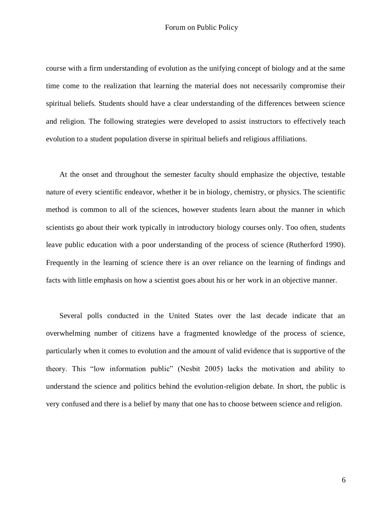course with a firm understanding of evolution as the unifying concept of biology and at the same time come to the realization that learning the material does not necessarily compromise their spiritual beliefs. Students should have a clear understanding of the differences between science and religion. The following strategies were developed to assist instructors to effectively teach evolution to a student population diverse in spiritual beliefs and religious affiliations.

 At the onset and throughout the semester faculty should emphasize the objective, testable nature of every scientific endeavor, whether it be in biology, chemistry, or physics. The scientific method is common to all of the sciences, however students learn about the manner in which scientists go about their work typically in introductory biology courses only. Too often, students leave public education with a poor understanding of the process of science (Rutherford 1990). Frequently in the learning of science there is an over reliance on the learning of findings and facts with little emphasis on how a scientist goes about his or her work in an objective manner.

 Several polls conducted in the United States over the last decade indicate that an overwhelming number of citizens have a fragmented knowledge of the process of science, particularly when it comes to evolution and the amount of valid evidence that is supportive of the theory. This "low information public" (Nesbit 2005) lacks the motivation and ability to understand the science and politics behind the evolution-religion debate. In short, the public is very confused and there is a belief by many that one has to choose between science and religion.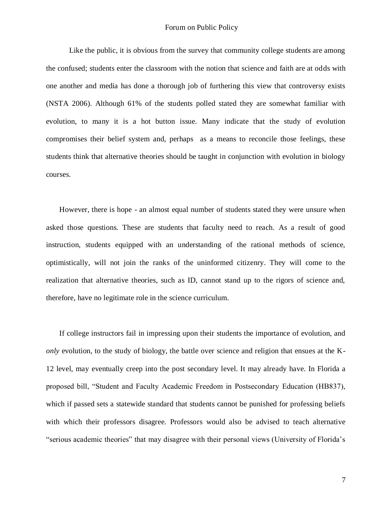Like the public, it is obvious from the survey that community college students are among the confused; students enter the classroom with the notion that science and faith are at odds with one another and media has done a thorough job of furthering this view that controversy exists (NSTA 2006). Although 61% of the students polled stated they are somewhat familiar with evolution, to many it is a hot button issue. Many indicate that the study of evolution compromises their belief system and, perhaps as a means to reconcile those feelings, these students think that alternative theories should be taught in conjunction with evolution in biology courses.

 However, there is hope - an almost equal number of students stated they were unsure when asked those questions. These are students that faculty need to reach. As a result of good instruction, students equipped with an understanding of the rational methods of science, optimistically, will not join the ranks of the uninformed citizenry. They will come to the realization that alternative theories, such as ID, cannot stand up to the rigors of science and, therefore, have no legitimate role in the science curriculum.

 If college instructors fail in impressing upon their students the importance of evolution, and *only* evolution, to the study of biology, the battle over science and religion that ensues at the K-12 level, may eventually creep into the post secondary level. It may already have. In Florida a proposed bill, "Student and Faculty Academic Freedom in Postsecondary Education (HB837), which if passed sets a statewide standard that students cannot be punished for professing beliefs with which their professors disagree. Professors would also be advised to teach alternative "serious academic theories" that may disagree with their personal views (University of Florida's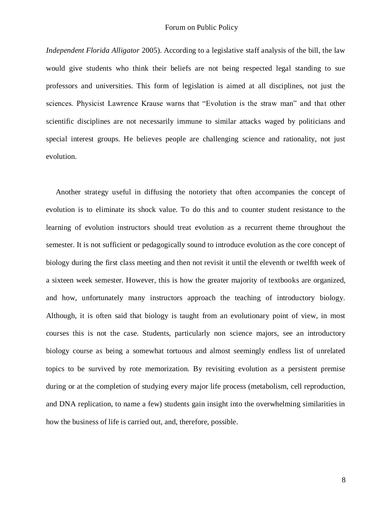*Independent Florida Alligator* 2005). According to a legislative staff analysis of the bill, the law would give students who think their beliefs are not being respected legal standing to sue professors and universities. This form of legislation is aimed at all disciplines, not just the sciences. Physicist Lawrence Krause warns that "Evolution is the straw man" and that other scientific disciplines are not necessarily immune to similar attacks waged by politicians and special interest groups. He believes people are challenging science and rationality, not just evolution.

 Another strategy useful in diffusing the notoriety that often accompanies the concept of evolution is to eliminate its shock value. To do this and to counter student resistance to the learning of evolution instructors should treat evolution as a recurrent theme throughout the semester. It is not sufficient or pedagogically sound to introduce evolution as the core concept of biology during the first class meeting and then not revisit it until the eleventh or twelfth week of a sixteen week semester. However, this is how the greater majority of textbooks are organized, and how, unfortunately many instructors approach the teaching of introductory biology. Although, it is often said that biology is taught from an evolutionary point of view, in most courses this is not the case. Students, particularly non science majors, see an introductory biology course as being a somewhat tortuous and almost seemingly endless list of unrelated topics to be survived by rote memorization. By revisiting evolution as a persistent premise during or at the completion of studying every major life process (metabolism, cell reproduction, and DNA replication, to name a few) students gain insight into the overwhelming similarities in how the business of life is carried out, and, therefore, possible.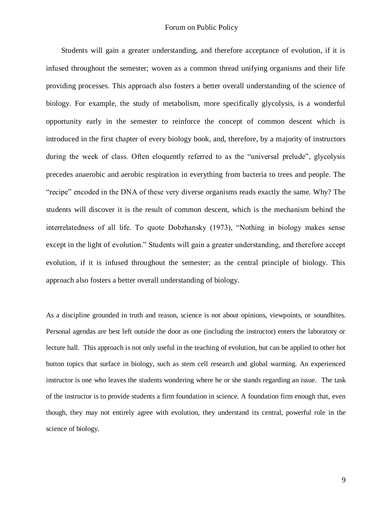Students will gain a greater understanding, and therefore acceptance of evolution, if it is infused throughout the semester; woven as a common thread unifying organisms and their life providing processes. This approach also fosters a better overall understanding of the science of biology. For example, the study of metabolism, more specifically glycolysis, is a wonderful opportunity early in the semester to reinforce the concept of common descent which is introduced in the first chapter of every biology book, and, therefore, by a majority of instructors during the week of class. Often eloquently referred to as the "universal prelude", glycolysis precedes anaerobic and aerobic respiration in everything from bacteria to trees and people. The "recipe" encoded in the DNA of these very diverse organisms reads exactly the same. Why? The students will discover it is the result of common descent, which is the mechanism behind the interrelatedness of all life. To quote Dobzhansky (1973), "Nothing in biology makes sense except in the light of evolution." Students will gain a greater understanding, and therefore accept evolution, if it is infused throughout the semester; as the central principle of biology. This approach also fosters a better overall understanding of biology.

As a discipline grounded in truth and reason, science is not about opinions, viewpoints, or soundbites. Personal agendas are best left outside the door as one (including the instructor) enters the laboratory or lecture hall. This approach is not only useful in the teaching of evolution, but can be applied to other hot button topics that surface in biology, such as stem cell research and global warming. An experienced instructor is one who leaves the students wondering where he or she stands regarding an issue. The task of the instructor is to provide students a firm foundation in science. A foundation firm enough that, even though, they may not entirely agree with evolution, they understand its central, powerful role in the science of biology.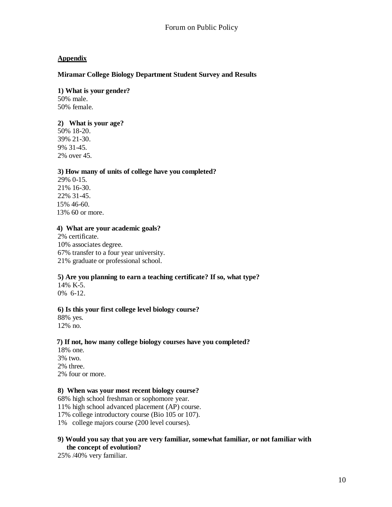# **Appendix**

## **Miramar College Biology Department Student Survey and Results**

## **1) What is your gender?**

50% male. 50% female.

## **2) What is your age?**

50% 18-20. 39% 21-30. 9% 31-45. 2% over 45.

## **3) How many of units of college have you completed?**

29% 0-15. 21% 16-30. 22% 31-45. 15% 46-60. 13% 60 or more.

#### **4) What are your academic goals?**

2% certificate. 10% associates degree. 67% transfer to a four year university. 21% graduate or professional school.

## **5) Are you planning to earn a teaching certificate? If so, what type?**

14% K-5. 0% 6-12.

#### **6) Is this your first college level biology course?**

88% yes. 12% no.

#### **7) If not, how many college biology courses have you completed?**

18% one. 3% two. 2% three. 2% four or more.

#### **8) When was your most recent biology course?**

68% high school freshman or sophomore year.

11% high school advanced placement (AP) course.

17% college introductory course (Bio 105 or 107).

1% college majors course (200 level courses).

#### **9) Would you say that you are very familiar, somewhat familiar, or not familiar with the concept of evolution?**

25% /40% very familiar.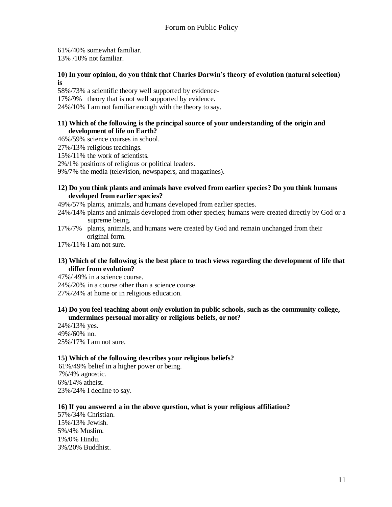61%/40% somewhat familiar. 13% /10% not familiar.

## **10) In your opinion, do you think that Charles Darwin's theory of evolution (natural selection) is**

58%/73% a scientific theory well supported by evidence-

17%/9% theory that is not well supported by evidence.

24%/10% I am not familiar enough with the theory to say.

## **11) Which of the following is the principal source of your understanding of the origin and development of life on Earth?**

46%/59% science courses in school.

27%/13% religious teachings.

15%/11% the work of scientists.

2%/1% positions of religious or political leaders.

9%/7% the media (television, newspapers, and magazines).

## **12) Do you think plants and animals have evolved from earlier species? Do you think humans developed from earlier species?**

49%/57% plants, animals, and humans developed from earlier species.

- 24%/14% plants and animals developed from other species; humans were created directly by God or a supreme being.
- 17%/7% plants, animals, and humans were created by God and remain unchanged from their original form.

17%/11% I am not sure.

## **13) Which of the following is the best place to teach views regarding the development of life that differ from evolution?**

47%/ 49% in a science course.

24%/20% in a course other than a science course.

27%/24% at home or in religious education.

#### **14) Do you feel teaching about** *only* **evolution in public schools, such as the community college, undermines personal morality or religious beliefs, or not?**

24%/13% yes. 49%/60% no. 25%/17% I am not sure.

## **15) Which of the following describes your religious beliefs?**

 61%/49% belief in a higher power or being. 7%/4% agnostic. 6%/14% atheist. 23%/24% I decline to say.

## **16) If you answered a in the above question, what is your religious affiliation?**

57%/34% Christian. 15%/13% Jewish. 5%/4% Muslim. 1%/0% Hindu. 3%/20% Buddhist.